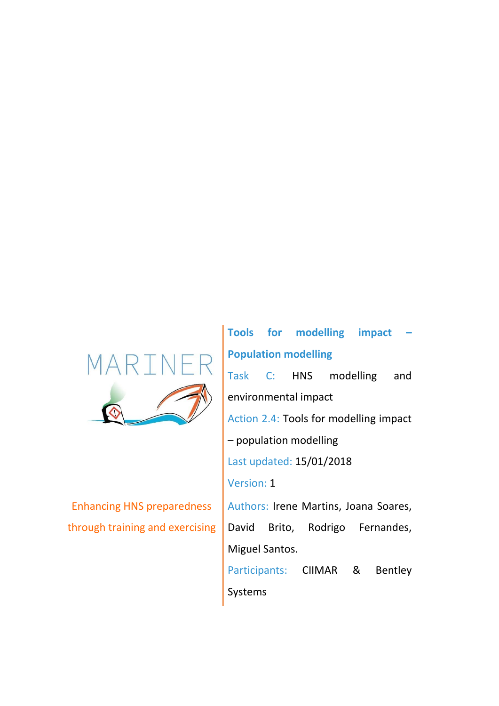

Enhancing HNS preparedness through training and exercising

**Tools for modelling impact – Population modelling** Task C: HNS modelling and environmental impact Action 2.4: Tools for modelling impact – population modelling Last updated: 15/01/2018 Version: 1 Authors: Irene Martins, Joana Soares, David Brito, Rodrigo Fernandes, Miguel Santos. Participants: CIIMAR & Bentley Systems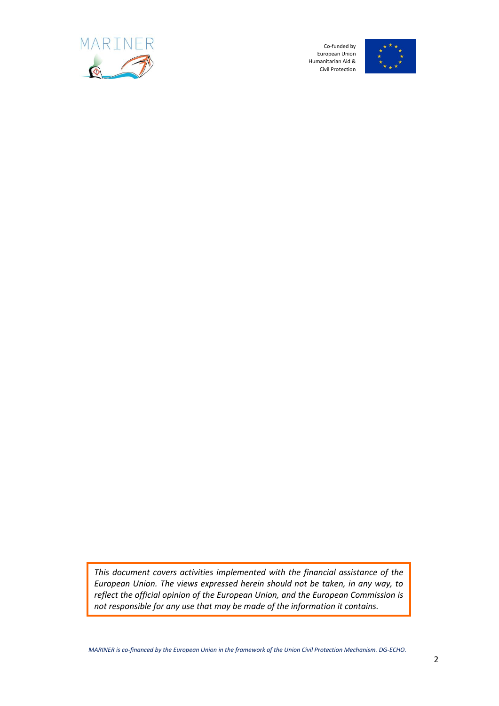



*This document covers activities implemented with the financial assistance of the European Union. The views expressed herein should not be taken, in any way, to reflect the official opinion of the European Union, and the European Commission is not responsible for any use that may be made of the information it contains.*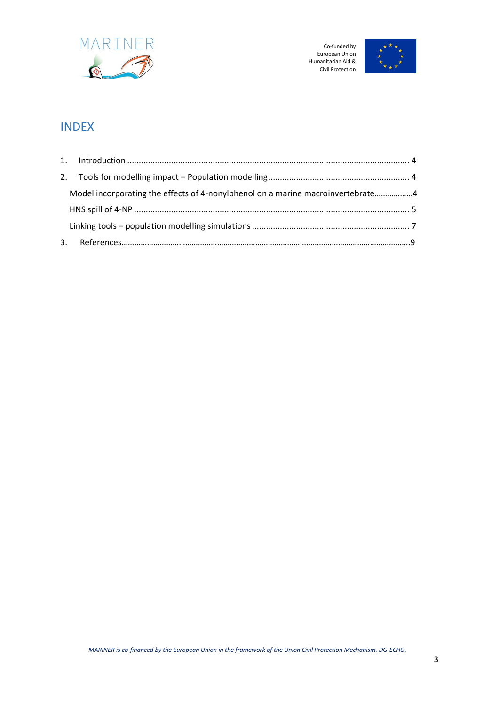



# INDEX

| Model incorporating the effects of 4-nonylphenol on a marine macroinvertebrate4 |  |
|---------------------------------------------------------------------------------|--|
|                                                                                 |  |
|                                                                                 |  |
|                                                                                 |  |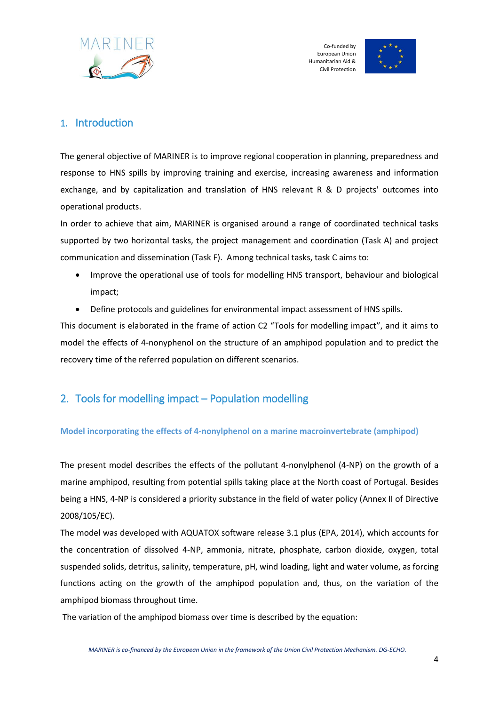



## <span id="page-3-0"></span>1. Introduction

The general objective of MARINER is to improve regional cooperation in planning, preparedness and response to HNS spills by improving training and exercise, increasing awareness and information exchange, and by capitalization and translation of HNS relevant R & D projects' outcomes into operational products.

In order to achieve that aim, MARINER is organised around a range of coordinated technical tasks supported by two horizontal tasks, the project management and coordination (Task A) and project communication and dissemination (Task F). Among technical tasks, task C aims to:

- Improve the operational use of tools for modelling HNS transport, behaviour and biological impact;
- Define protocols and guidelines for environmental impact assessment of HNS spills.

This document is elaborated in the frame of action C2 "Tools for modelling impact", and it aims to model the effects of 4-nonyphenol on the structure of an amphipod population and to predict the recovery time of the referred population on different scenarios.

## <span id="page-3-1"></span>2. Tools for modelling impact – Population modelling

#### **Model incorporating the effects of 4-nonylphenol on a marine macroinvertebrate (amphipod)**

The present model describes the effects of the pollutant 4-nonylphenol (4-NP) on the growth of a marine amphipod, resulting from potential spills taking place at the North coast of Portugal. Besides being a HNS, 4-NP is considered a priority substance in the field of water policy (Annex II of Directive 2008/105/EC).

The model was developed with AQUATOX software release 3.1 plus (EPA, 2014), which accounts for the concentration of dissolved 4-NP, ammonia, nitrate, phosphate, carbon dioxide, oxygen, total suspended solids, detritus, salinity, temperature, pH, wind loading, light and water volume, as forcing functions acting on the growth of the amphipod population and, thus, on the variation of the amphipod biomass throughout time.

The variation of the amphipod biomass over time is described by the equation: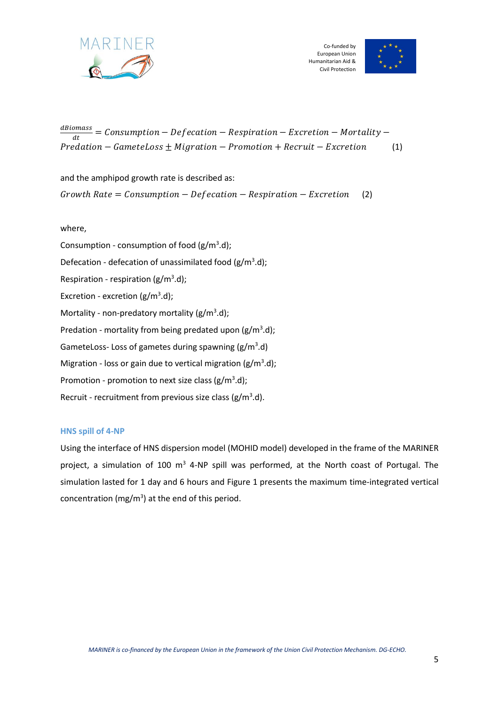



 $\frac{d\textit{Biomass}}{dt} = \textit{Consumption} - \textit{Definition} - \textit{Respiration} - \textit{Excretion} - \textit{Mortality} - \frac{1}{2}$  $\overline{dt}$  $Predation - Gamet\, 5 \pm Migration - Promotion + Recruit - Excretion$  (1)

and the amphipod growth rate is described as:

 $Growth Rate = Consumption - Defection - Respiration - Excretion$  (2)

where,

Consumption - consumption of food  $(g/m^3.d)$ ; Defecation - defecation of unassimilated food  $(g/m^3.d)$ ; Respiration - respiration ( $g/m<sup>3</sup>$ .d); Excretion - excretion  $(g/m^3.d)$ ; Mortality - non-predatory mortality ( $g/m^3$ .d); Predation - mortality from being predated upon ( $g/m<sup>3</sup>$ .d); GameteLoss-Loss of gametes during spawning ( $g/m<sup>3</sup>$ .d) Migration - loss or gain due to vertical migration (g/m<sup>3</sup>.d); Promotion - promotion to next size class  $(g/m^3.d)$ ; Recruit - recruitment from previous size class ( $g/m^3$ .d).

#### **HNS spill of 4-NP**

Using the interface of HNS dispersion model (MOHID model) developed in the frame of the MARINER project, a simulation of 100  $m<sup>3</sup>$  4-NP spill was performed, at the North coast of Portugal. The simulation lasted for 1 day and 6 hours and Figure 1 presents the maximum time-integrated vertical concentration (mg/m<sup>3</sup>) at the end of this period.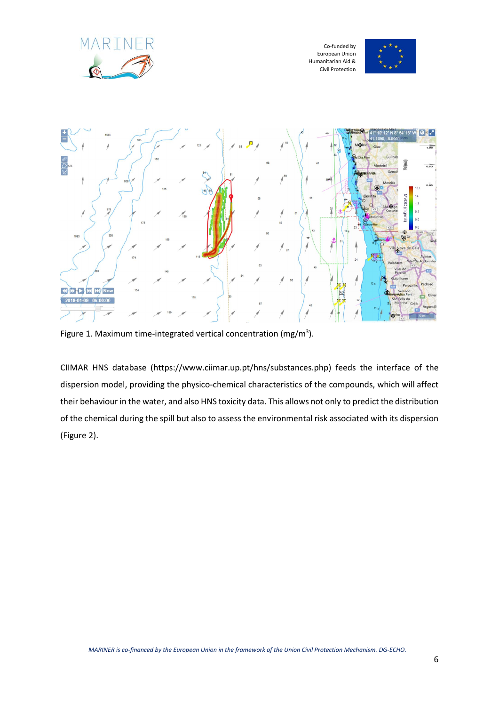





Figure 1. Maximum time-integrated vertical concentration (mg/m<sup>3</sup>).

CIIMAR HNS database [\(https://www.ciimar.up.pt/hns/substances.php\)](https://www.ciimar.up.pt/hns/substances.php) feeds the interface of the dispersion model, providing the physico-chemical characteristics of the compounds, which will affect their behaviour in the water, and also HNS toxicity data. This allows not only to predict the distribution of the chemical during the spill but also to assess the environmental risk associated with its dispersion (Figure 2).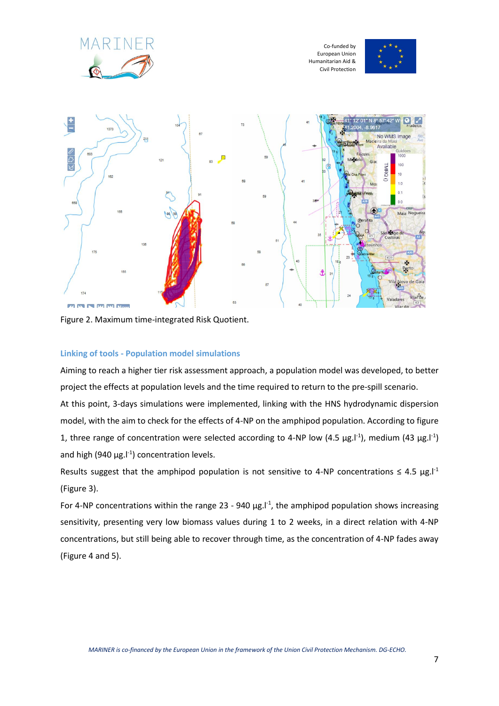





Figure 2. Maximum time-integrated Risk Quotient.

#### **Linking of tools - Population model simulations**

Aiming to reach a higher tier risk assessment approach, a population model was developed, to better project the effects at population levels and the time required to return to the pre-spill scenario. At this point, 3-days simulations were implemented, linking with the HNS hydrodynamic dispersion model, with the aim to check for the effects of 4-NP on the amphipod population. According to figure 1, three range of concentration were selected according to 4-NP low (4.5  $\mu$ g.l<sup>-1</sup>), medium (43  $\mu$ g.l<sup>-1</sup>) and high (940  $\mu$ g.<sup>1-1</sup>) concentration levels.

Results suggest that the amphipod population is not sensitive to 4-NP concentrations  $\leq 4.5$  µg. $l^1$ (Figure 3).

For 4-NP concentrations within the range 23 - 940  $\mu$ g.<sup>1-1</sup>, the amphipod population shows increasing sensitivity, presenting very low biomass values during 1 to 2 weeks, in a direct relation with 4-NP concentrations, but still being able to recover through time, as the concentration of 4-NP fades away (Figure 4 and 5).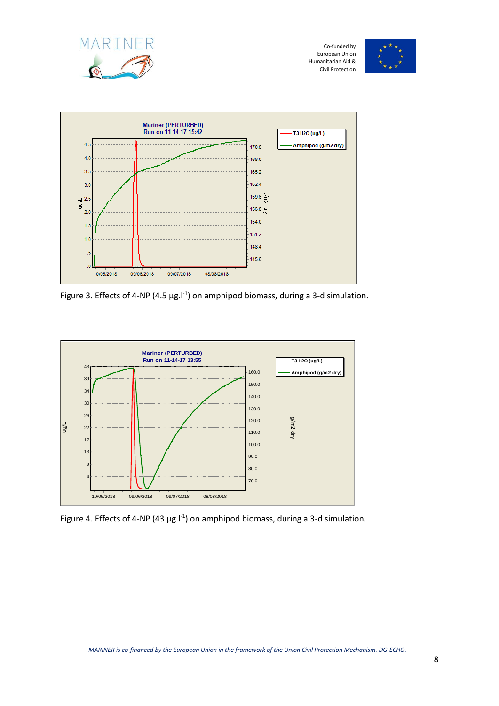





Figure 3. Effects of 4-NP (4.5  $\mu$ g.l<sup>-1</sup>) on amphipod biomass, during a 3-d simulation.



Figure 4. Effects of 4-NP (43  $\mu$ g. $l^{-1}$ ) on amphipod biomass, during a 3-d simulation.